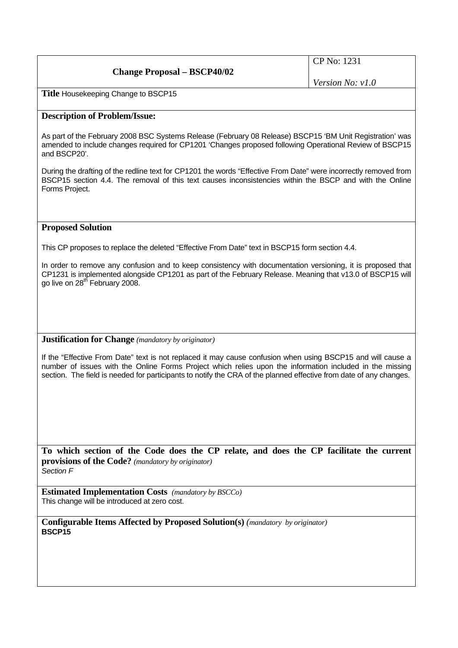| <b>Change Proposal – BSCP40/02</b> | $\vert$ CP No: 1231       |
|------------------------------------|---------------------------|
|                                    | <i>Version No:</i> $v1.0$ |

**Title** Housekeeping Change to BSCP15

## **Description of Problem/Issue:**

As part of the February 2008 BSC Systems Release (February 08 Release) BSCP15 'BM Unit Registration' was amended to include changes required for CP1201 'Changes proposed following Operational Review of BSCP15 and BSCP20'.

During the drafting of the redline text for CP1201 the words "Effective From Date" were incorrectly removed from BSCP15 section 4.4. The removal of this text causes inconsistencies within the BSCP and with the Online Forms Project.

## **Proposed Solution**

This CP proposes to replace the deleted "Effective From Date" text in BSCP15 form section 4.4.

In order to remove any confusion and to keep consistency with documentation versioning, it is proposed that CP1231 is implemented alongside CP1201 as part of the February Release. Meaning that v13.0 of BSCP15 will go live on 28<sup>th</sup> February 2008.

## **Justification for Change** *(mandatory by originator)*

If the "Effective From Date" text is not replaced it may cause confusion when using BSCP15 and will cause a number of issues with the Online Forms Project which relies upon the information included in the missing section. The field is needed for participants to notify the CRA of the planned effective from date of any changes.

**To which section of the Code does the CP relate, and does the CP facilitate the current provisions of the Code?** *(mandatory by originator) Section F* 

**Estimated Implementation Costs** *(mandatory by BSCCo)*  This change will be introduced at zero cost.

**Configurable Items Affected by Proposed Solution(s)** *(mandatory by originator)*  **BSCP15**